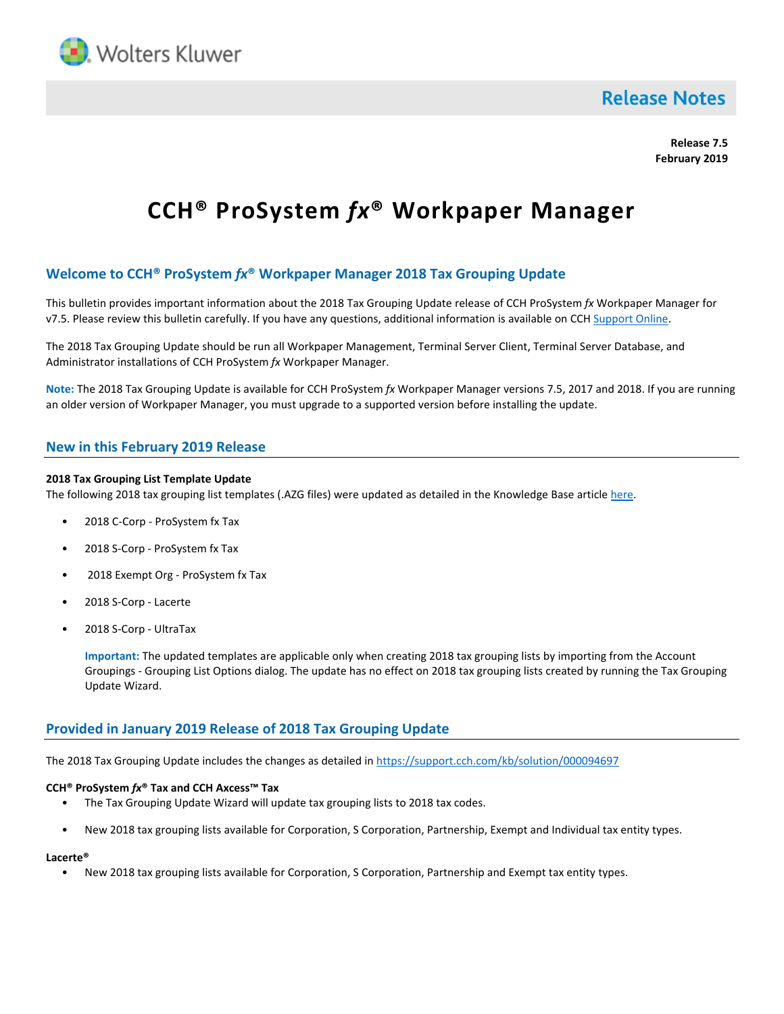

# **Release Notes**

**Release 7.5 February 2019**

# **CCH® ProSystem** *fx***® Workpaper Manager**

# **Welcome to CCH® ProSystem** *fx***® Workpaper Manager 2018 Tax Grouping Update**

This bulletin provides important information about the 2018 Tax Grouping Update release of CCH ProSystem *fx* Workpaper Manager for v7.5. Please review this bulletin carefully. If you have any questions, additional information is available on CCH [Support Online.](http://support.cch.com/productsupport/)

The 2018 Tax Grouping Update should be run all Workpaper Management, Terminal Server Client, Terminal Server Database, and Administrator installations of CCH ProSystem *fx* Workpaper Manager.

**Note:** The 2018 Tax Grouping Update is available for CCH ProSystem *fx* Workpaper Manager versions 7.5, 2017 and 2018. If you are running an older version of Workpaper Manager, you must upgrade to a supported version before installing the update.

## **New in this February 2019 Release**

#### **2018 Tax Grouping List Template Update**

The following 2018 tax grouping list templates (.AZG files) were updated as detailed in the Knowledge Base article [here.](https://support.cch.com/kb/solution/000097390/97390)

- 2018 C-Corp ProSystem fx Tax
- 2018 S-Corp ProSystem fx Tax
- 2018 Exempt Org ProSystem fx Tax
- 2018 S-Corp Lacerte
- 2018 S-Corp UltraTax

**Important:** The updated templates are applicable only when creating 2018 tax grouping lists by importing from the Account Groupings - Grouping List Options dialog. The update has no effect on 2018 tax grouping lists created by running the Tax Grouping Update Wizard.

### **Provided in January 2019 Release of 2018 Tax Grouping Update**

The 2018 Tax Grouping Update includes the changes as detailed in<https://support.cch.com/kb/solution/000094697>

#### **CCH® ProSystem** *fx***® Tax and CCH Axcess™ Tax**

- The Tax Grouping Update Wizard will update tax grouping lists to 2018 tax codes.
- New 2018 tax grouping lists available for Corporation, S Corporation, Partnership, Exempt and Individual tax entity types.

#### **Lacerte®**

• New 2018 tax grouping lists available for Corporation, S Corporation, Partnership and Exempt tax entity types.